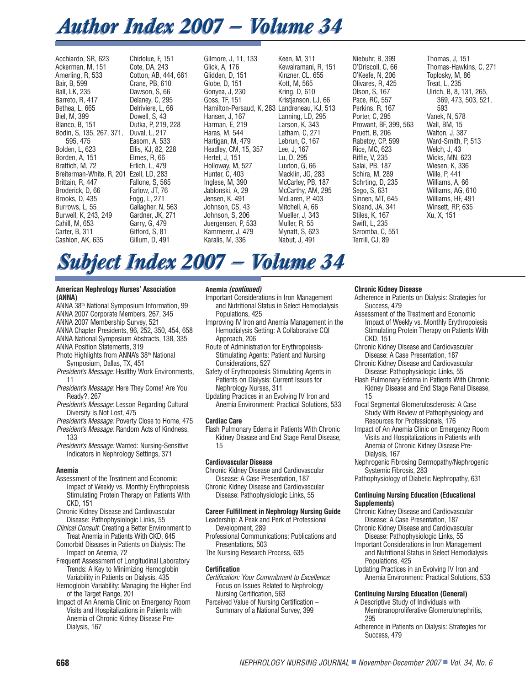# *Author Index 2007 — Volume 34 Author Index 2007 — Volume 34*

Acchiardo, SR, 623 Ackerman, M, 151 Amerling, R, 533 Bair, B, 599 Ball, LK, 235 Barreto, R, 417 Bethea, L, 665 Biel, M, 399 Blanco, B, 151 Bodin, S, 135, 267, 371, 595, 475 Bolden, L, 623 Borden, A, 151 Brattich, M, 72 Breiterman-White, R, 201 Ezell, LD, 283 Brittain, R, 447 Broderick, D, 66 Brooks, D, 435 Burrows, L, 55 Burwell, K, 243, 249 Cahill, M, 653 Carter, B, 311 Cashion, AK, 635 Chidolue, F, 151 Cote, DA, 243 Cotton, AB, 444, 661 Crane, PB, 610 Dawson, S, 66 Delaney, C, 295 Delriviere, L, 66 Dowell, S, 43 Dutka, P, 219, 228 Duval, L, 217 Easom, A, 533 Ellis, KJ, 82, 228 Elmes, R, 66 Erlich, L, 479 Fallone, S, 565 Farlow, JT, 76 Fogg, L, 271 Gallagher, N, 563 Gardner, JK, 271 Garry, G, 479 Gifford, S, 81 Gillum, D, 491

Gilmore, J, 11, 133 Glick, A, 176 Glidden, D, 151 Globe, D, 151 Gonyea, J, 230 Goss, TF, 151 Hamilton-Persaud, K, 283 Landreneau, KJ, 513 Hansen, J, 167 Harman, E, 219 Haras, M, 544 Hartigan, M, 479 Headley, CM, 15, 357 Hertel, J, 151 Holloway, M, 527 Hunter, C, 403 Inglese, M, 390 Jablonski, A, 29 Jensen, K. 491 Johnson, CS, 43 Johnson, S, 206 Juergensen, P, 533 Kammerer, J, 479 Karalis, M, 336

Keen, M, 311 Kewalramani, R, 151 Kinzner, CL, 655 Kott, M, 565 Kring, D, 610 Kristjanson, LJ, 66 Lanning, LD, 295 Larson, K, 343 Latham, C, 271 Lebrun, C, 167 Lee, J, 167 Lu, D, 295 Luxton, G, 66 Macklin, JG, 283 McCarley, PB, 187 McCarthy, AM, 295 McLaren, P, 403 Mitchell, A, 66 Mueller, J, 343 Muller, R, 55 Mynatt, S, 623 Nabut, J, 491

Niebuhr, B, 399 O'Driscoll, C, 66 O'Keefe, N, 206 Olivares, R, 425 Olson, S, 167 Pace, RC, 557 Perkins, R, 167 Porter, C, 295 Prowant, BF, 399, 563 Pruett, B, 206 Rabetoy, CP, 599 Rice, MC, 623 Riffle, V, 235 Salai, PB, 187 Schira, M, 289 Schrting, D, 235 Sego, S, 631 Sinnen, MT, 645 Sloand, JA, 341 Stiles, K, 167 Swift, L, 235 Szromba, C, 551 Terrill, CJ, 89

Thomas, J, 151 Thomas-Hawkins, C, 271 Toplosky, M, 86 Treat, L, 235 Ulrich, B, 8, 131, 265, 369, 473, 503, 521, 593 Vanek, N, 578 Wall, BM, 15 Walton, J, 387 Ward-Smith, P, 513 Welch, J, 43 Wicks, MN, 623 Wiesen, K, 336 Wille, P, 441 Williams, A, 66 Williams, AG, 610 Williams, HF, 491 Winsett, RP, 635 Xu, X, 151

# *Subject Index 2007 — Volume 34 Subject Index 2007 — Volume 34*

#### **American Nephrology Nurses' Association (ANNA)**

- ANNA 38th National Symposium Information, 99
- ANNA 2007 Corporate Members, 267, 345 ANNA 2007 Membership Survey, 521
- ANNA Chapter Presidents, 96, 252, 350, 454, 658
- ANNA National Symposium Abstracts, 138, 335
- ANNA Position Statements, 319
- Photo Highlights from ANNA's 38<sup>th</sup> National Symposium, Dallas, TX, 451
- President's Message: Healthy Work Environments, 11
- President's Message: Here They Come! Are You Ready?, 267
- President's Message: Lesson Regarding Cultural Diversity Is Not Lost, 475
- President's Message: Poverty Close to Home, 475 President's Message: Random Acts of Kindness,
- 133 President's Message: Wanted: Nursing-Sensitive Indicators in Nephrology Settings, 371

# **Anemia**

- Assessment of the Treatment and Economic Impact of Weekly vs. Monthly Erythropoiesis Stimulating Protein Therapy on Patients With CKD, 151
- Chronic Kidney Disease and Cardiovascular Disease: Pathophysiologic Links, 55
- Clinical Consult: Creating a Better Environment to Treat Anemia in Patients With CKD, 645
- Comorbid Diseases in Patients on Dialysis: The Impact on Anemia, 72
- Frequent Assessment of Longitudinal Laboratory Trends: A Key to Minimizing Hemoglobin Variability in Patients on Dialysis, 435
- Hemoglobin Variability: Managing the Higher End of the Target Range, 201
- Impact of An Anemia Clinic on Emergency Room Visits and Hospitalizations in Patients with Anemia of Chronic Kidney Disease Pre-Dialysis, 167

# **Anemia (continued)**

- Important Considerations in Iron Management and Nutritional Status in Select Hemodialysis Populations, 425
- Improving IV Iron and Anemia Management in the Hemodialysis Setting: A Collaborative CQI Approach, 206
- Route of Administration for Erythropoiesis-Stimulating Agents: Patient and Nursing Considerations, 527
- Safety of Erythropoiesis Stimulating Agents in Patients on Dialysis: Current Issues for Nephrology Nurses, 311
- Updating Practices in an Evolving IV Iron and Anemia Environment: Practical Solutions, 533

#### **Cardiac Care**

Flash Pulmonary Edema in Patients With Chronic Kidney Disease and End Stage Renal Disease, 15

# **Cardiovascular Disease**

- Chronic Kidney Disease and Cardiovascular Disease: A Case Presentation, 187
- Chronic Kidney Disease and Cardiovascular Disease: Pathophysiologic Links, 55

# **Career Fulfillment in Nephrology Nursing Guide**

Leadership: A Peak and Perk of Professional Development, 289

- Professional Communications: Publications and Presentations, 503
- The Nursing Research Process, 635

# **Certification**

- Certification: Your Commitment to Excellence: Focus on Issues Related to Nephrology Nursing Certification, 563
- Perceived Value of Nursing Certification Summary of a National Survey, 399

#### **Chronic Kidney Disease**

- Adherence in Patients on Dialysis: Strategies for Success, 479
- Assessment of the Treatment and Economic Impact of Weekly vs. Monthly Erythropoiesis Stimulating Protein Therapy on Patients With CKD, 151
- Chronic Kidney Disease and Cardiovascular Disease: A Case Presentation, 187
- Chronic Kidney Disease and Cardiovascular Disease: Pathophysiologic Links, 55
- Flash Pulmonary Edema in Patients With Chronic Kidney Disease and End Stage Renal Disease, 15
- Focal Segmental Glomerulosclerosis: A Case Study With Review of Pathophysiology and Resources for Professionals, 176
- Impact of An Anemia Clinic on Emergency Room Visits and Hospitalizations in Patients with Anemia of Chronic Kidney Disease Pre-Dialysis, 167
- Nephrogenic Fibrosing Dermopathy/Nephrogenic Systemic Fibrosis, 283
- Pathophysiology of Diabetic Nephropathy, 631

#### **Continuing Nursing Education (Educational Supplements)**

- Chronic Kidney Disease and Cardiovascular Disease: A Case Presentation, 187
- Chronic Kidney Disease and Cardiovascular Disease: Pathophysiologic Links, 55
- Important Considerations in Iron Management and Nutritional Status in Select Hemodialysis Populations, 425
- Updating Practices in an Evolving IV Iron and Anemia Environment: Practical Solutions, 533

# **Continuing Nursing Education (General)**

- A Descriptive Study of Individuals with Membranoproliferative Glomerulonephritis, 295
- Adherence in Patients on Dialysis: Strategies for Success, 479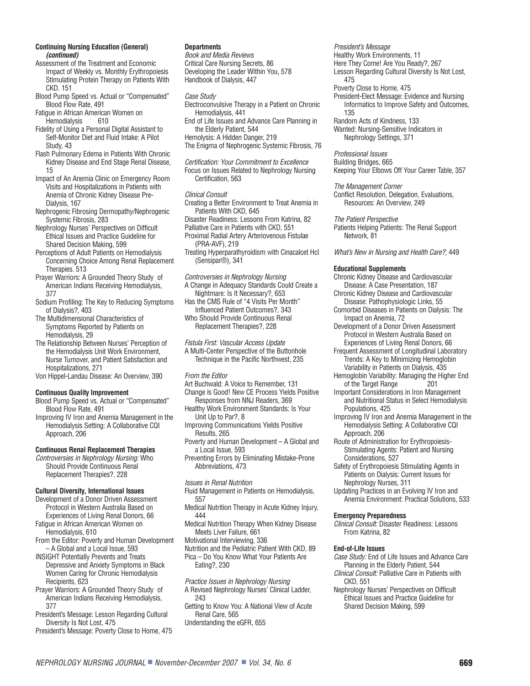#### **Continuing Nursing Education (General) (continued)**

- Assessment of the Treatment and Economic Impact of Weekly vs. Monthly Erythropoiesis Stimulating Protein Therapy on Patients With CKD. 151
- Blood Pump Speed vs. Actual or "Compensated" Blood Flow Rate, 491

Fatigue in African American Women on Hemodialysis 610

- Fidelity of Using a Personal Digital Assistant to Self-Monitor Diet and Fluid Intake: A Pilot Study, 43
- Flash Pulmonary Edema in Patients With Chronic Kidney Disease and End Stage Renal Disease, 15
- Impact of An Anemia Clinic on Emergency Room Visits and Hospitalizations in Patients with Anemia of Chronic Kidney Disease Pre-Dialysis, 167
- Nephrogenic Fibrosing Dermopathy/Nephrogenic Systemic Fibrosis, 283
- Nephrology Nurses' Perspectives on Difficult Ethical Issues and Practice Guideline for Shared Decision Making, 599
- Perceptions of Adult Patients on Hemodialysis Concerning Choice Among Renal Replacement Therapies. 513
- Prayer Warriors: A Grounded Theory Study of American Indians Receiving Hemodialysis, 377
- Sodium Profiling: The Key to Reducing Symptoms of Dialysis?, 403
- The Multidimensional Characteristics of Symptoms Reported by Patients on Hemodialysis, 29
- The Relationship Between Nurses' Perception of the Hemodialysis Unit Work Environment, Nurse Turnover, and Patient Satisfaction and Hospitalizations, 271
- Von Hippel-Landau Disease: An Overview, 390

#### **Continuous Quality Improvement**

- Blood Pump Speed vs. Actual or "Compensated" Blood Flow Rate, 491
- Improving IV Iron and Anemia Management in the Hemodialysis Setting: A Collaborative CQI Approach, 206

#### **Continuous Renal Replacement Therapies**

Controversies in Nephrology Nursing: Who Should Provide Continuous Renal Replacement Therapies?, 228

#### **Cultural Diversity, International Issues**

- Development of a Donor Driven Assessment Protocol in Western Australia Based on Experiences of Living Renal Donors, 66
- Fatigue in African American Women on Hemodialysis, 610
- From the Editor: Poverty and Human Development – A Global and a Local Issue, 593
- INSIGHT Potentially Prevents and Treats Depressive and Anxiety Symptoms in Black Women Caring for Chronic Hemodialysis Recipients, 623
- Prayer Warriors: A Grounded Theory Study of American Indians Receiving Hemodialysis, 377
- President's Message: Lesson Regarding Cultural Diversity Is Not Lost, 475
- President's Message: Poverty Close to Home, 475

#### **Departments**

Book and Media Reviews Critical Care Nursing Secrets, 86 Developing the Leader Within You, 578 Handbook of Dialysis, 447

Case Study

- Electroconvulsive Therapy in a Patient on Chronic Hemodialysis, 441
- End of Life Issues and Advance Care Planning in the Elderly Patient, 544 Hemolysis: A Hidden Danger, 219
- The Enigma of Nephrogenic Systemic Fibrosis, 76

Certification: Your Commitment to Excellence Focus on Issues Related to Nephrology Nursing Certification, 563

#### Clinical Consult

Creating a Better Environment to Treat Anemia in Patients With CKD, 645

Disaster Readiness: Lessons From Katrina, 82 Palliative Care in Patients with CKD, 551 Proximal Radial Artery Arteriovenous Fistulae

(PRA-AVF), 219

Treating Hyperparathyroidism with Cinacalcet Hcl (Sensipar®), 341

Controversies in Nephrology Nursing A Change in Adequacy Standards Could Create a Nightmare: Is It Necessary?, 653

- Has the CMS Rule of "4 Visits Per Month"
- Influenced Patient Outcomes?, 343 Who Should Provide Continuous Renal
- Replacement Therapies?, 228

Fistula First: Vascular Access Update A Multi-Center Perspective of the Buttonhole Technique in the Pacific Northwest, 235

From the Editor

- Art Buchwald: A Voice to Remember, 131 Change is Good! New CE Process Yields Positive
- Responses from NNJ Readers, 369 Healthy Work Environment Standards: Is Your
- Unit Up to Par?, 8 Improving Communications Yields Positive Results, 265
- Poverty and Human Development A Global and a Local Issue, 593

Preventing Errors by Eliminating Mistake-Prone Abbreviations, 473

Issues in Renal Nutrition

- Fluid Management in Patients on Hemodialysis, 557
- Medical Nutrition Therapy in Acute Kidney Injury, 444
- Medical Nutrition Therapy When Kidney Disease Meets Liver Failure, 661

Motivational Interviewing, 336

Nutrition and the Pediatric Patient With CKD, 89 Pica – Do You Know What Your Patients Are Eating?, 230

Practice Issues in Nephrology Nursing A Revised Nephrology Nurses' Clinical Ladder,

- 243
- Getting to Know You: A National View of Acute Renal Care, 565
- Understanding the eGFR, 655

President's Message Healthy Work Environments, 11 Here They Come! Are You Ready?, 267 Lesson Regarding Cultural Diversity Is Not Lost, 475 Poverty Close to Home, 475

President-Elect Message: Evidence and Nursing Informatics to Improve Safety and Outcomes, 135

Random Acts of Kindness, 133 Wanted: Nursing-Sensitive Indicators in Nephrology Settings, 371

Professional Issues Building Bridges, 665 Keeping Your Elbows Off Your Career Table, 357

The Management Corner Conflict Resolution, Delegation, Evaluations, Resources: An Overview, 249

The Patient Perspective

Patients Helping Patients: The Renal Support Network, 81

What's New in Nursing and Health Care?, 449

#### **Educational Supplements**

- Chronic Kidney Disease and Cardiovascular Disease: A Case Presentation, 187
- Chronic Kidney Disease and Cardiovascular Disease: Pathophysiologic Links, 55
- Comorbid Diseases in Patients on Dialysis: The Impact on Anemia, 72
- Development of a Donor Driven Assessment Protocol in Western Australia Based on Experiences of Living Renal Donors, 66
- Frequent Assessment of Longitudinal Laboratory Trends: A Key to Minimizing Hemoglobin Variability in Patients on Dialysis, 435
- Hemoglobin Variability: Managing the Higher End of the Target Range
- Important Considerations in Iron Management and Nutritional Status in Select Hemodialysis Populations, 425
- Improving IV Iron and Anemia Management in the Hemodialysis Setting: A Collaborative CQI Approach, 206
- Route of Administration for Erythropoiesis-Stimulating Agents: Patient and Nursing Considerations, 527
- Safety of Erythropoiesis Stimulating Agents in Patients on Dialysis: Current Issues for Nephrology Nurses, 311
- Updating Practices in an Evolving IV Iron and Anemia Environment: Practical Solutions, 533

#### **Emergency Preparedness**

Clinical Consult: Disaster Readiness: Lessons From Katrina, 82

#### **End-of-Life Issues**

Case Study: End of Life Issues and Advance Care Planning in the Elderly Patient, 544

Clinical Consult: Palliative Care in Patients with CKD, 551

Nephrology Nurses' Perspectives on Difficult Ethical Issues and Practice Guideline for Shared Decision Making, 599